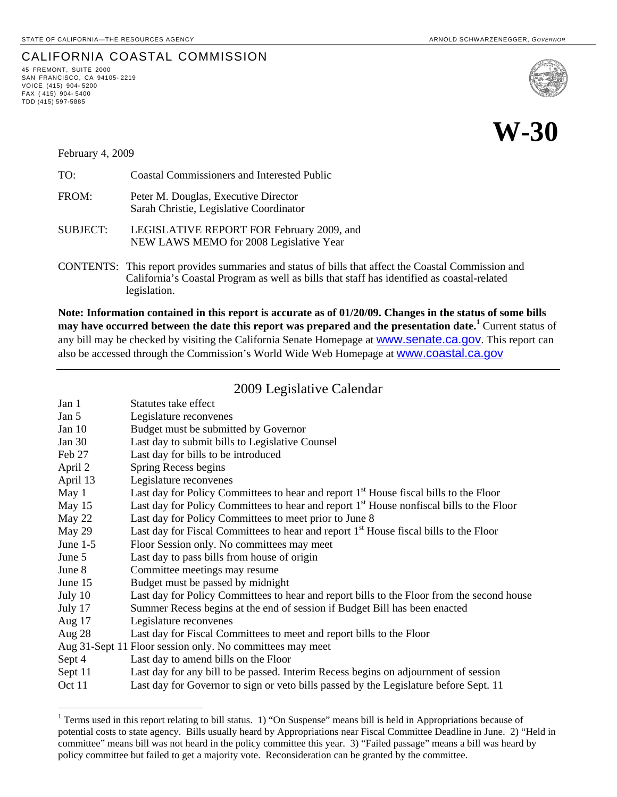## CALIFORNIA COASTAL COMMISSION 45 FREMONT, SUITE <sup>2000</sup>

SAN FRANCISCO, CA 94105- 2219 VOICE (415) 904- 5200  $FAX$  (415) 904-5400 TDD (415) 597-5885

1



# **W-30**

February 4, 2009

| TO:             | <b>Coastal Commissioners and Interested Public</b>                                   |
|-----------------|--------------------------------------------------------------------------------------|
| FROM:           | Peter M. Douglas, Executive Director<br>Sarah Christie, Legislative Coordinator      |
| <b>SUBJECT:</b> | LEGISLATIVE REPORT FOR February 2009, and<br>NEW LAWS MEMO for 2008 Legislative Year |

CONTENTS: This report provides summaries and status of bills that affect the Coastal Commission and California's Coastal Program as well as bills that staff has identified as coastal-related legislation.

**Note: Information contained in this report is accurate as of 01/20/09. Changes in the status of some bills may have occurred between the date this report was prepared and the presentation date.[1](#page-0-0)** Current status of any bill may be checked by visiting the California Senate Homepage at **WWW.Senate.ca.gov**. This report can also be accessed through the Commission's World Wide Web Homepage at [www.coastal.ca.gov](http://www.coastal.ca.gov/)

### 2009 Legislative Calendar

| Jan 1      | Statutes take effect                                                                                 |
|------------|------------------------------------------------------------------------------------------------------|
|            |                                                                                                      |
| Jan 5      | Legislature reconvenes                                                                               |
| Jan $10$   | Budget must be submitted by Governor                                                                 |
| Jan $30$   | Last day to submit bills to Legislative Counsel                                                      |
| Feb 27     | Last day for bills to be introduced                                                                  |
| April 2    | Spring Recess begins                                                                                 |
| April 13   | Legislature reconvenes                                                                               |
| May 1      | Last day for Policy Committees to hear and report 1 <sup>st</sup> House fiscal bills to the Floor    |
| May 15     | Last day for Policy Committees to hear and report 1 <sup>st</sup> House nonfiscal bills to the Floor |
| May 22     | Last day for Policy Committees to meet prior to June 8                                               |
| May 29     | Last day for Fiscal Committees to hear and report 1 <sup>st</sup> House fiscal bills to the Floor    |
| June $1-5$ | Floor Session only. No committees may meet                                                           |
| June 5     | Last day to pass bills from house of origin                                                          |
| June 8     | Committee meetings may resume                                                                        |
| June 15    | Budget must be passed by midnight                                                                    |
| July 10    | Last day for Policy Committees to hear and report bills to the Floor from the second house           |
| July 17    | Summer Recess begins at the end of session if Budget Bill has been enacted                           |
| Aug $17$   | Legislature reconvenes                                                                               |
| Aug $28$   | Last day for Fiscal Committees to meet and report bills to the Floor                                 |
|            | Aug 31-Sept 11 Floor session only. No committees may meet                                            |
| Sept 4     | Last day to amend bills on the Floor                                                                 |
| Sept 11    | Last day for any bill to be passed. Interim Recess begins on adjournment of session                  |
| Oct 11     | Last day for Governor to sign or veto bills passed by the Legislature before Sept. 11                |

<span id="page-0-0"></span><sup>&</sup>lt;sup>1</sup> Terms used in this report relating to bill status. 1) "On Suspense" means bill is held in Appropriations because of potential costs to state agency. Bills usually heard by Appropriations near Fiscal Committee Deadline in June. 2) "Held in committee" means bill was not heard in the policy committee this year. 3) "Failed passage" means a bill was heard by policy committee but failed to get a majority vote. Reconsideration can be granted by the committee.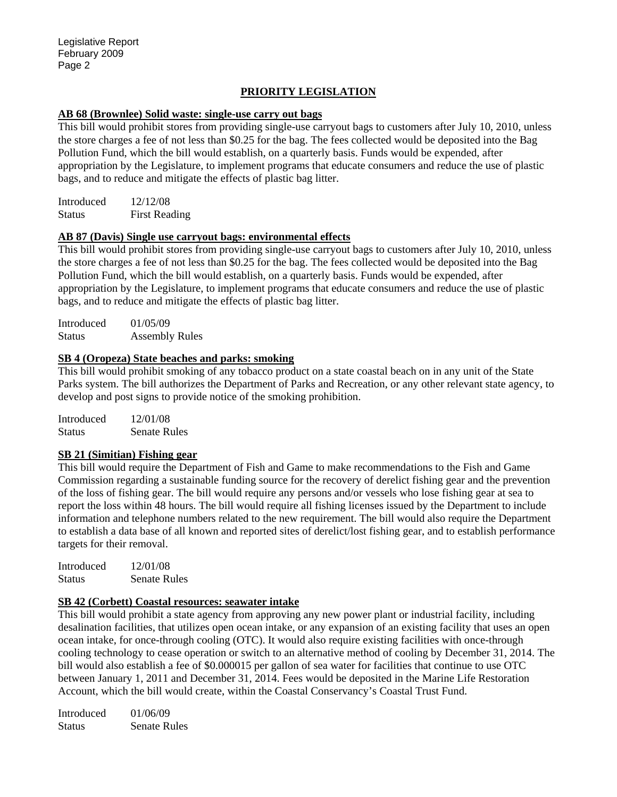#### **PRIORITY LEGISLATION**

#### **AB 68 (Brownlee) Solid waste: single-use carry out bags**

This bill would prohibit stores from providing single-use carryout bags to customers after July 10, 2010, unless the store charges a fee of not less than \$0.25 for the bag. The fees collected would be deposited into the Bag Pollution Fund, which the bill would establish, on a quarterly basis. Funds would be expended, after appropriation by the Legislature, to implement programs that educate consumers and reduce the use of plastic bags, and to reduce and mitigate the effects of plastic bag litter.

Introduced 12/12/08 Status First Reading

#### **AB 87 (Davis) Single use carryout bags: environmental effects**

This bill would prohibit stores from providing single-use carryout bags to customers after July 10, 2010, unless the store charges a fee of not less than \$0.25 for the bag. The fees collected would be deposited into the Bag Pollution Fund, which the bill would establish, on a quarterly basis. Funds would be expended, after appropriation by the Legislature, to implement programs that educate consumers and reduce the use of plastic bags, and to reduce and mitigate the effects of plastic bag litter.

Introduced 01/05/09 Status Assembly Rules

#### **SB 4 (Oropeza) State beaches and parks: smoking**

This bill would prohibit smoking of any tobacco product on a state coastal beach on in any unit of the State Parks system. The bill authorizes the Department of Parks and Recreation, or any other relevant state agency, to develop and post signs to provide notice of the smoking prohibition.

Introduced 12/01/08 Status Senate Rules

#### **SB 21 (Simitian) Fishing gear**

This bill would require the Department of Fish and Game to make recommendations to the Fish and Game Commission regarding a sustainable funding source for the recovery of derelict fishing gear and the prevention of the loss of fishing gear. The bill would require any persons and/or vessels who lose fishing gear at sea to report the loss within 48 hours. The bill would require all fishing licenses issued by the Department to include information and telephone numbers related to the new requirement. The bill would also require the Department to establish a data base of all known and reported sites of derelict/lost fishing gear, and to establish performance targets for their removal.

| Introduced    | 12/01/08            |
|---------------|---------------------|
| <b>Status</b> | <b>Senate Rules</b> |

#### **SB 42 (Corbett) Coastal resources: seawater intake**

This bill would prohibit a state agency from approving any new power plant or industrial facility, including desalination facilities, that utilizes open ocean intake, or any expansion of an existing facility that uses an open ocean intake, for once-through cooling (OTC). It would also require existing facilities with once-through cooling technology to cease operation or switch to an alternative method of cooling by December 31, 2014. The bill would also establish a fee of \$0.000015 per gallon of sea water for facilities that continue to use OTC between January 1, 2011 and December 31, 2014. Fees would be deposited in the Marine Life Restoration Account, which the bill would create, within the Coastal Conservancy's Coastal Trust Fund.

Introduced 01/06/09 Status Senate Rules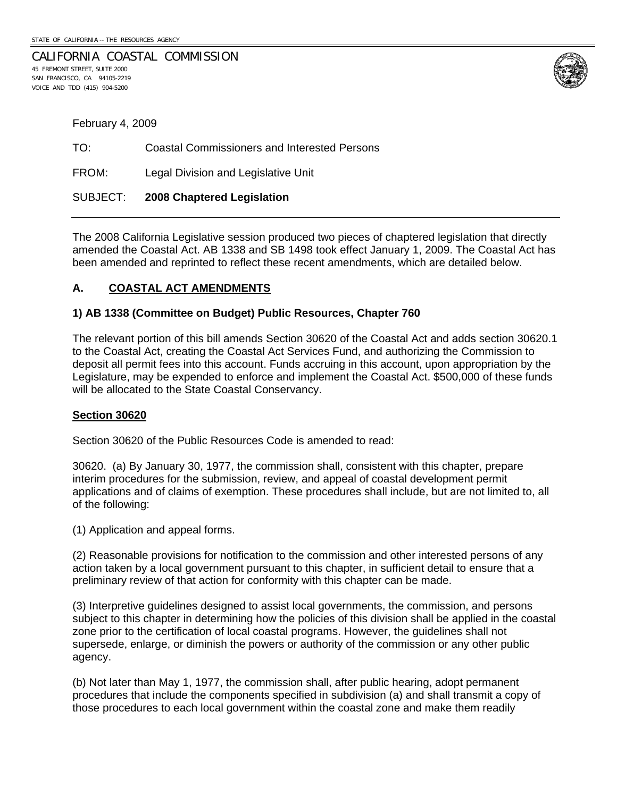VOICE AND TDD (415) 904-5200

CALIFORNIA COASTAL COMMISSION 45 FREMONT STREET, SUITE 2000 SAN FRANCISCO, CA 94105-2219



| February 4, 2009 |                                                     |  |
|------------------|-----------------------------------------------------|--|
| TO:              | <b>Coastal Commissioners and Interested Persons</b> |  |
| FROM:            | Legal Division and Legislative Unit                 |  |
| SUBJECT:         | 2008 Chaptered Legislation                          |  |

The 2008 California Legislative session produced two pieces of chaptered legislation that directly amended the Coastal Act. AB 1338 and SB 1498 took effect January 1, 2009. The Coastal Act has been amended and reprinted to reflect these recent amendments, which are detailed below.

#### **A. COASTAL ACT AMENDMENTS**

#### **1) AB 1338 (Committee on Budget) Public Resources, Chapter 760**

The relevant portion of this bill amends Section 30620 of the Coastal Act and adds section 30620.1 to the Coastal Act, creating the Coastal Act Services Fund, and authorizing the Commission to deposit all permit fees into this account. Funds accruing in this account, upon appropriation by the Legislature, may be expended to enforce and implement the Coastal Act. \$500,000 of these funds will be allocated to the State Coastal Conservancy.

#### **Section 30620**

Section 30620 of the Public Resources Code is amended to read:

30620. (a) By January 30, 1977, the commission shall, consistent with this chapter, prepare interim procedures for the submission, review, and appeal of coastal development permit applications and of claims of exemption. These procedures shall include, but are not limited to, all of the following:

(1) Application and appeal forms.

(2) Reasonable provisions for notification to the commission and other interested persons of any action taken by a local government pursuant to this chapter, in sufficient detail to ensure that a preliminary review of that action for conformity with this chapter can be made.

(3) Interpretive guidelines designed to assist local governments, the commission, and persons subject to this chapter in determining how the policies of this division shall be applied in the coastal zone prior to the certification of local coastal programs. However, the guidelines shall not supersede, enlarge, or diminish the powers or authority of the commission or any other public agency.

(b) Not later than May 1, 1977, the commission shall, after public hearing, adopt permanent procedures that include the components specified in subdivision (a) and shall transmit a copy of those procedures to each local government within the coastal zone and make them readily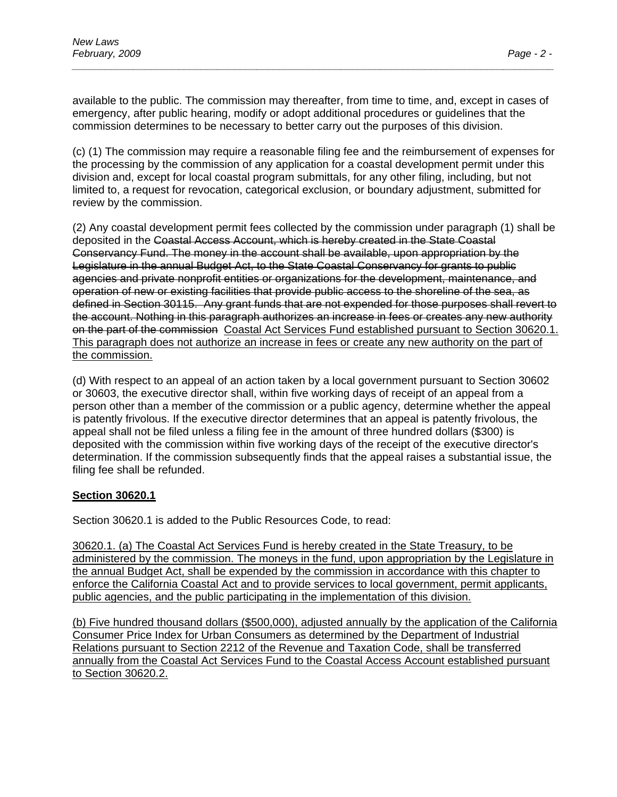available to the public. The commission may thereafter, from time to time, and, except in cases of emergency, after public hearing, modify or adopt additional procedures or guidelines that the commission determines to be necessary to better carry out the purposes of this division.

*\_\_\_\_\_\_\_\_\_\_\_\_\_\_\_\_\_\_\_\_\_\_\_\_\_\_\_\_\_\_\_\_\_\_\_\_\_\_\_\_\_\_\_\_\_\_\_\_\_\_\_\_\_\_\_\_\_\_\_\_\_\_\_\_\_\_\_\_\_\_\_\_\_\_\_\_\_\_\_\_\_\_\_\_\_\_* 

(c) (1) The commission may require a reasonable filing fee and the reimbursement of expenses for the processing by the commission of any application for a coastal development permit under this division and, except for local coastal program submittals, for any other filing, including, but not limited to, a request for revocation, categorical exclusion, or boundary adjustment, submitted for review by the commission.

(2) Any coastal development permit fees collected by the commission under paragraph (1) shall be deposited in the Coastal Access Account, which is hereby created in the State Coastal Conservancy Fund. The money in the account shall be available, upon appropriation by the Legislature in the annual Budget Act, to the State Coastal Conservancy for grants to public agencies and private nonprofit entities or organizations for the development, maintenance, and operation of new or existing facilities that provide public access to the shoreline of the sea, as defined in Section 30115. Any grant funds that are not expended for those purposes shall revert to the account. Nothing in this paragraph authorizes an increase in fees or creates any new authority on the part of the commission Coastal Act Services Fund established pursuant to Section 30620.1. This paragraph does not authorize an increase in fees or create any new authority on the part of the commission.

(d) With respect to an appeal of an action taken by a local government pursuant to Section 30602 or 30603, the executive director shall, within five working days of receipt of an appeal from a person other than a member of the commission or a public agency, determine whether the appeal is patently frivolous. If the executive director determines that an appeal is patently frivolous, the appeal shall not be filed unless a filing fee in the amount of three hundred dollars (\$300) is deposited with the commission within five working days of the receipt of the executive director's determination. If the commission subsequently finds that the appeal raises a substantial issue, the filing fee shall be refunded.

#### **Section 30620.1**

Section 30620.1 is added to the Public Resources Code, to read:

30620.1. (a) The Coastal Act Services Fund is hereby created in the State Treasury, to be administered by the commission. The moneys in the fund, upon appropriation by the Legislature in the annual Budget Act, shall be expended by the commission in accordance with this chapter to enforce the California Coastal Act and to provide services to local government, permit applicants, public agencies, and the public participating in the implementation of this division.

(b) Five hundred thousand dollars (\$500,000), adjusted annually by the application of the California Consumer Price Index for Urban Consumers as determined by the Department of Industrial Relations pursuant to Section 2212 of the Revenue and Taxation Code, shall be transferred annually from the Coastal Act Services Fund to the Coastal Access Account established pursuant to Section 30620.2.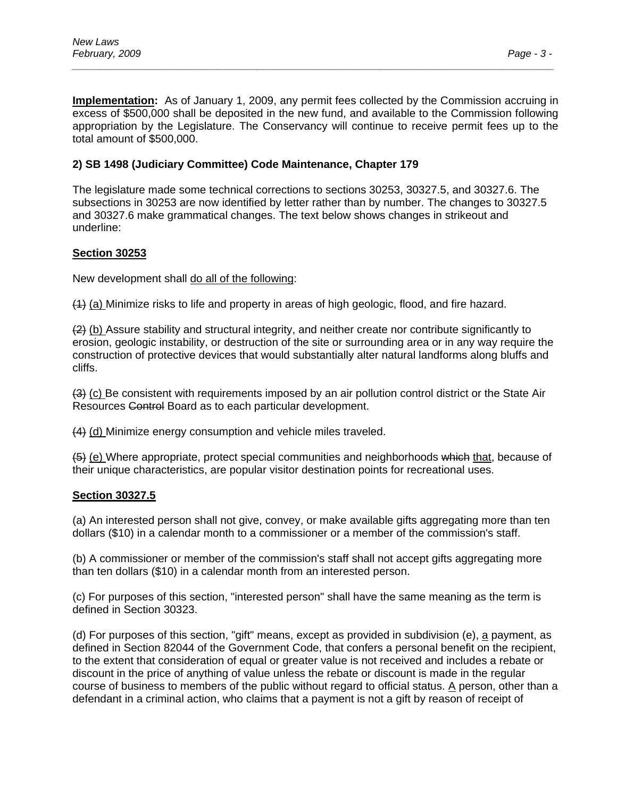**Implementation:** As of January 1, 2009, any permit fees collected by the Commission accruing in excess of \$500,000 shall be deposited in the new fund, and available to the Commission following appropriation by the Legislature. The Conservancy will continue to receive permit fees up to the total amount of \$500,000.

*\_\_\_\_\_\_\_\_\_\_\_\_\_\_\_\_\_\_\_\_\_\_\_\_\_\_\_\_\_\_\_\_\_\_\_\_\_\_\_\_\_\_\_\_\_\_\_\_\_\_\_\_\_\_\_\_\_\_\_\_\_\_\_\_\_\_\_\_\_\_\_\_\_\_\_\_\_\_\_\_\_\_\_\_\_\_* 

#### **2) SB 1498 (Judiciary Committee) Code Maintenance, Chapter 179**

The legislature made some technical corrections to sections 30253, 30327.5, and 30327.6. The subsections in 30253 are now identified by letter rather than by number. The changes to 30327.5 and 30327.6 make grammatical changes. The text below shows changes in strikeout and underline:

#### **Section 30253**

New development shall do all of the following:

(1) (a) Minimize risks to life and property in areas of high geologic, flood, and fire hazard.

 $(2)$  (b) Assure stability and structural integrity, and neither create nor contribute significantly to erosion, geologic instability, or destruction of the site or surrounding area or in any way require the construction of protective devices that would substantially alter natural landforms along bluffs and cliffs.

(3) (c) Be consistent with requirements imposed by an air pollution control district or the State Air Resources Control Board as to each particular development.

(4) (d) Minimize energy consumption and vehicle miles traveled.

(5) (e) Where appropriate, protect special communities and neighborhoods which that, because of their unique characteristics, are popular visitor destination points for recreational uses.

#### **Section 30327.5**

(a) An interested person shall not give, convey, or make available gifts aggregating more than ten dollars (\$10) in a calendar month to a commissioner or a member of the commission's staff.

(b) A commissioner or member of the commission's staff shall not accept gifts aggregating more than ten dollars (\$10) in a calendar month from an interested person.

(c) For purposes of this section, "interested person" shall have the same meaning as the term is defined in Section 30323.

(d) For purposes of this section, "gift" means, except as provided in subdivision (e), a payment, as defined in Section 82044 of the Government Code, that confers a personal benefit on the recipient, to the extent that consideration of equal or greater value is not received and includes a rebate or discount in the price of anything of value unless the rebate or discount is made in the regular course of business to members of the public without regard to official status. A person, other than a defendant in a criminal action, who claims that a payment is not a gift by reason of receipt of